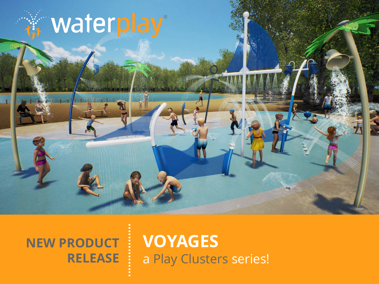# waterplay®

### **NEW PRODUCT RELEASE**

### **VOYAGES** a Play Clusters series!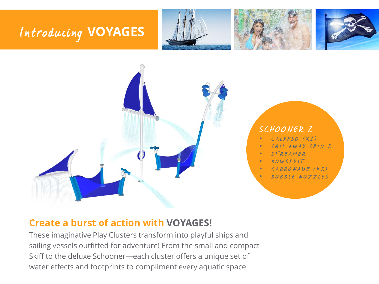### Introducing **VOYAGES**









#### **Create a burst of action with VOYAGES!**

These imaginative Play Clusters transform into playful ships and sailing vessels outfitted for adventure! From the small and compact Skiff to the deluxe Schooner—each cluster offers a unique set of water effects and footprints to compliment every aquatic space!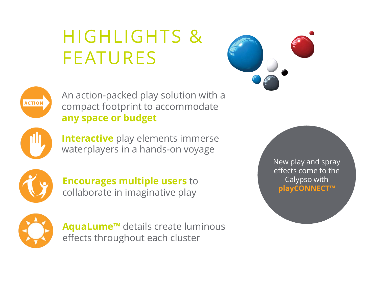## HIGHLIGHTS & FEATURES





An action-packed play solution with a compact footprint to accommodate **any space or budget**



**Interactive** play elements immerse waterplayers in a hands-on voyage



**Encourages multiple users** to collaborate in imaginative play



**AquaLume™** details create luminous effects throughout each cluster

New play and spray effects come to the Calypso with **playCONNECT™**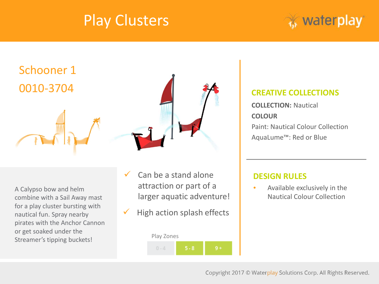



A Calypso bow and helm combine with a Sail Away mast for a play cluster bursting with nautical fun. Spray nearby pirates with the Anchor Cannon or get soaked under the Streamer's tipping buckets!

- $\checkmark$  Can be a stand alone attraction or part of a larger aquatic adventure!
- High action splash effects

#### Play Zones  $0 - 4$

#### **CREATIVE COLLECTIONS**

**COLLECTION:** Nautical **COLOUR** Paint: Nautical Colour Collection AquaLume™: Red or Blue

#### **DESIGN RULES**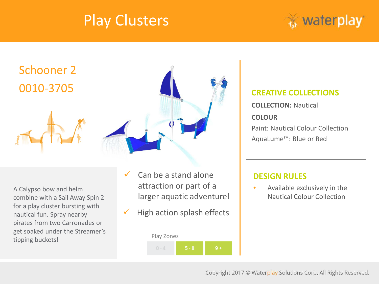



A Calypso bow and helm combine with a Sail Away Spin 2 for a play cluster bursting with nautical fun. Spray nearby pirates from two Carronades or get soaked under the Streamer's tipping buckets!

- $\checkmark$  Can be a stand alone attraction or part of a larger aquatic adventure!
- High action splash effects

#### Play Zones  $0 - 4$

#### **CREATIVE COLLECTIONS**

**COLLECTION:** Nautical **COLOUR** Paint: Nautical Colour Collection AquaLume™: Blue or Red

#### **DESIGN RULES**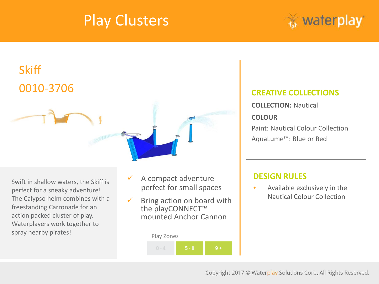



Swift in shallow waters, the Skiff is perfect for a sneaky adventure! The Calypso helm combines with a freestanding Carronade for an action packed cluster of play. Waterplayers work together to spray nearby pirates!

- A compact adventure perfect for small spaces
- $\checkmark$  Bring action on board with the playCONNECT™ mounted Anchor Cannon

#### Play Zones



#### **CREATIVE COLLECTIONS**

**COLLECTION:** Nautical **COLOUR** Paint: Nautical Colour Collection AquaLume™: Blue or Red

#### **DESIGN RULES**